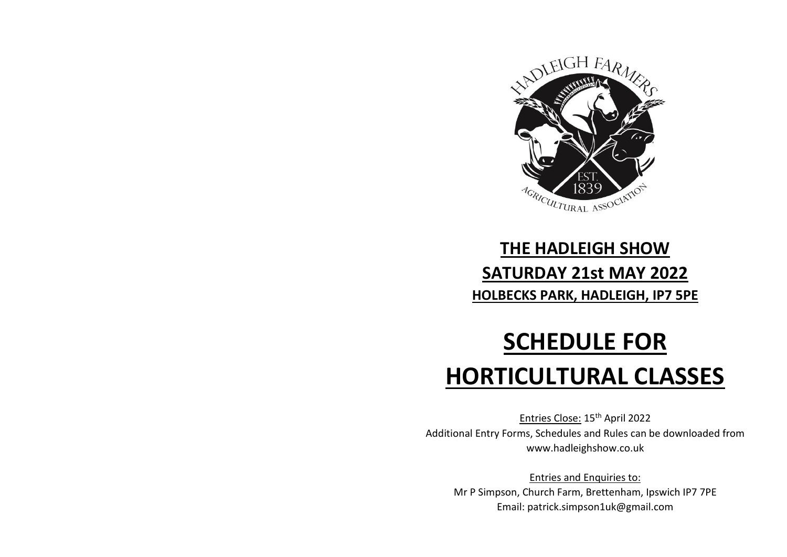

# **THE HADLEIGH SHOW SATURDAY 21st MAY 2022 HOLBECKS PARK, HADLEIGH, IP7 5PE**

# **SCHEDULE FOR HORTICULTURAL CLASSES**

Entries Close: 15th April 2022 Additional Entry Forms, Schedules and Rules can be downloaded from www.hadleighshow.co.uk

Entries and Enquiries to: Mr P Simpson, Church Farm, Brettenham, Ipswich IP7 7PE Email: patrick.simpson1uk@gmail.com